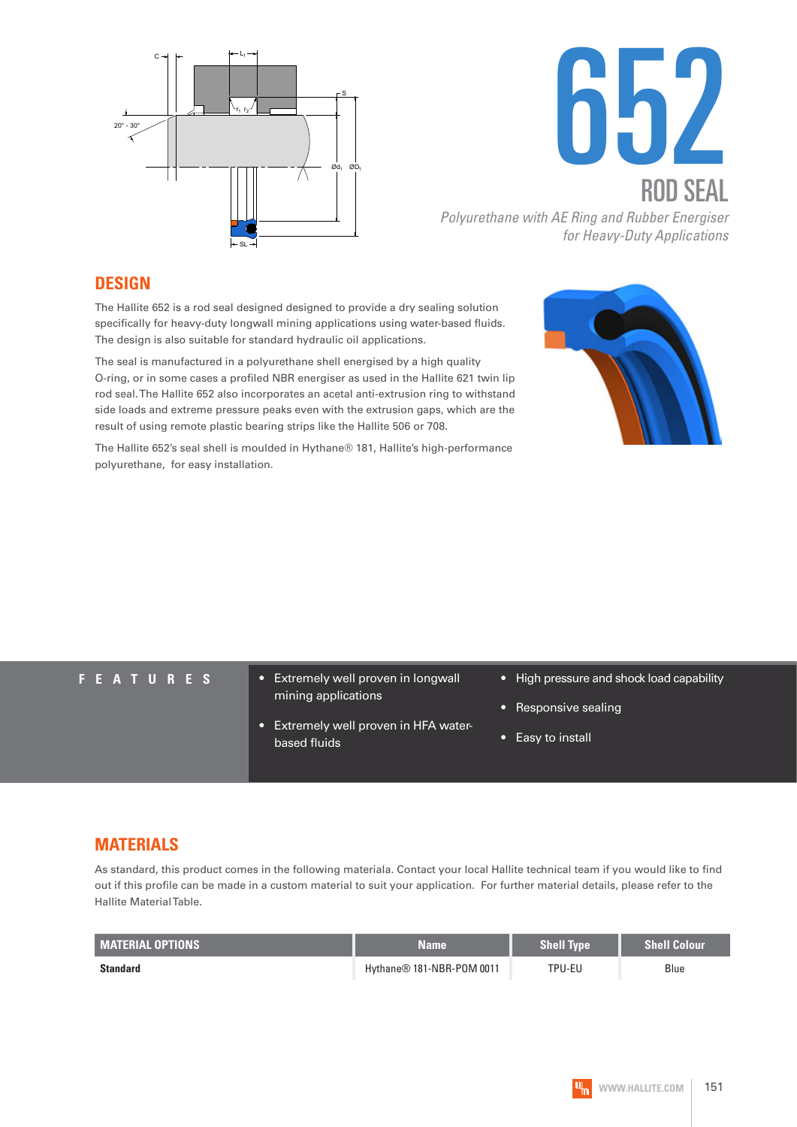



#### **DESIGN**

The Hallite 652 is a rod seal designed designed to provide a dry sealing solution specifically for heavy-duty longwall mining applications using water-based fluids. The design is also suitable for standard hydraulic oil applications.

The seal is manufactured in a polyurethane shell energised by a high quality O-ring, or in some cases a profiled NBR energiser as used in the Hallite 621 twin lip rod seal. The Hallite 652 also incorporates an acetal anti-extrusion ring to withstand side loads and extreme pressure peaks even with the extrusion gaps, which are the result of using remote plastic bearing strips like the Hallite 506 or 708.

The Hallite 652's seal shell is moulded in Hythane® 181, Hallite's high-performance polyurethane, for easy installation.

- **FEATURES** Extremely well proven in longwall mining applications
	- Extremely well proven in HFA waterbased fluids

- High pressure and shock load capability
- Responsive sealing
- Easy to install

#### **MATERIALS**

As standard, this product comes in the following materiala. Contact your local Hallite technical team if you would like to find out if this profile can be made in a custom material to suit your application. For further material details, please refer to the Hallite Material Table.

| <b>MATERIAL OPTIONS</b> | <b>Name</b>                           | <b>Shell Type</b> | <b>Shell Colour</b> |
|-------------------------|---------------------------------------|-------------------|---------------------|
| <b>Standard</b>         | Hythane <sup>®</sup> 181-NBR-POM 0011 | TPU-EU            | Blue                |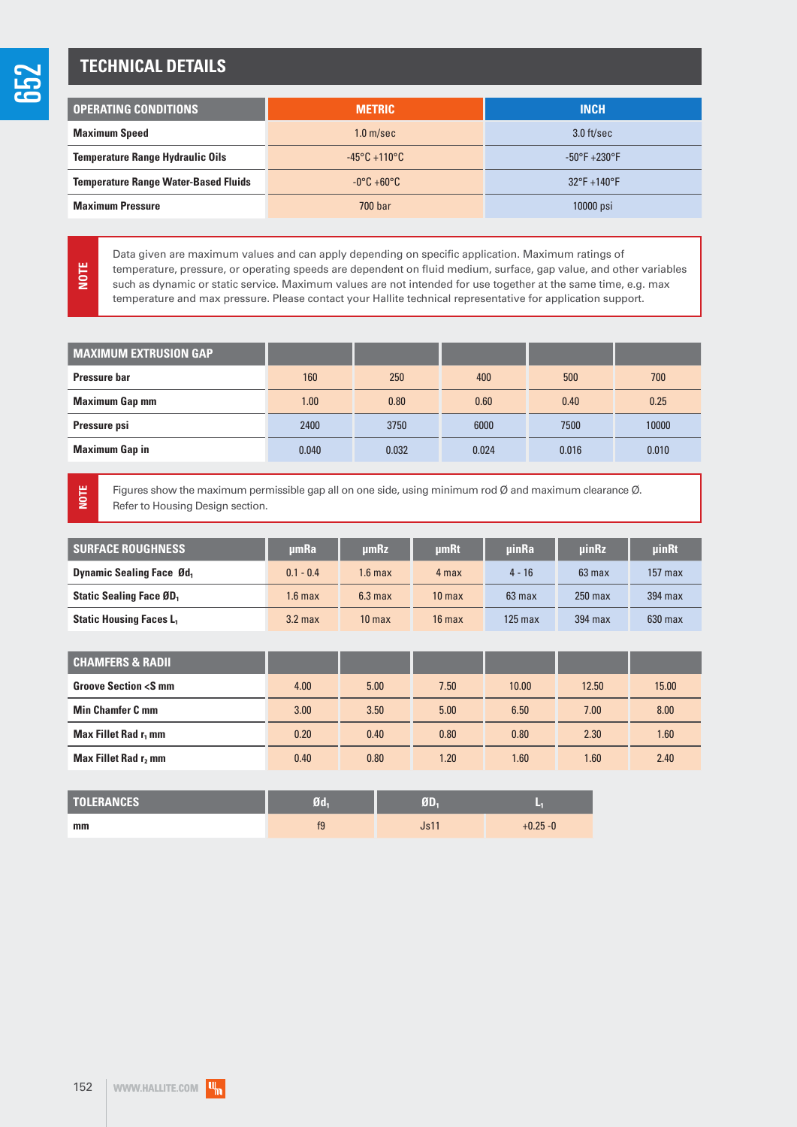### **TECHNICAL DETAILS**

| <b>OPERATING CONDITIONS</b>                 | <b>METRIC</b>                     | <b>INCH</b>                      |  |  |
|---------------------------------------------|-----------------------------------|----------------------------------|--|--|
| <b>Maximum Speed</b>                        | 1.0 <sub>m/sec</sub>              | $3.0$ ft/sec                     |  |  |
| <b>Temperature Range Hydraulic Oils</b>     | $-45^{\circ}$ C +110 $^{\circ}$ C | $-50^{\circ}$ F $+230^{\circ}$ F |  |  |
| <b>Temperature Range Water-Based Fluids</b> | $-0^{\circ}$ C +60 $^{\circ}$ C   | $32^{\circ}$ F +140 $^{\circ}$ F |  |  |
| <b>Maximum Pressure</b>                     | 700 bar                           | 10000 psi                        |  |  |

Data given are maximum values and can apply depending on specific application. Maximum ratings of temperature, pressure, or operating speeds are dependent on fluid medium, surface, gap value, and other variables such as dynamic or static service. Maximum values are not intended for use together at the same time, e.g. max temperature and max pressure. Please contact your Hallite technical representative for application support. **NOTE**

| <b>MAXIMUM EXTRUSION GAP</b> |       |       |       |       |       |
|------------------------------|-------|-------|-------|-------|-------|
| <b>Pressure bar</b>          | 160   | 250   | 400   | 500   | 700   |
| <b>Maximum Gap mm</b>        | 1.00  | 0.80  | 0.60  | 0.40  | 0.25  |
| Pressure psi                 | 2400  | 3750  | 6000  | 7500  | 10000 |
| <b>Maximum Gap in</b>        | 0.040 | 0.032 | 0.024 | 0.016 | 0.010 |

**NOTE**

Figures show the maximum permissible gap all on one side, using minimum rod Ø and maximum clearance Ø. Refer to Housing Design section.

| <b>SURFACE ROUGHNESS</b>         | umRa        | <b>umRz</b>        | <b>umRt</b>       | <b>uinRa</b> | <b>uinRz</b> | uinRt     |
|----------------------------------|-------------|--------------------|-------------------|--------------|--------------|-----------|
| <b>Dynamic Sealing Face Ød</b> , | $0.1 - 0.4$ | 1.6 max            | 4 max             | $4 - 16$     | 63 max       | $157$ max |
| <b>Static Sealing Face ØD</b>    | 1.6 max     | 6.3 <sub>max</sub> | 10 <sub>max</sub> | $63$ max     | $250$ max    | 394 max   |
| <b>Static Housing Faces L</b>    | $3.2$ max   | 10 <sub>max</sub>  | $16$ max          | 125 max      | $394$ max    | $630$ max |

| <b>CHAMFERS &amp; RADII</b>               |      |      |      |       |       |       |
|-------------------------------------------|------|------|------|-------|-------|-------|
| <b>Groove Section <s b="" mm<=""></s></b> | 4.00 | 5.00 | 7.50 | 10.00 | 12.50 | 15.00 |
| <b>Min Chamfer C mm</b>                   | 3.00 | 3.50 | 5.00 | 6.50  | 7.00  | 8.00  |
| Max Fillet Rad r <sub>1</sub> mm          | 0.20 | 0.40 | 0.80 | 0.80  | 2.30  | 1.60  |
| Max Fillet Rad r, mm                      | 0.40 | 0.80 | 1.20 | 1.60  | 1.60  | 2.40  |

| <b>TOLERANCES</b> | Ød, |      |             |
|-------------------|-----|------|-------------|
| mm                | f9  | Js11 | $+0.25 - 0$ |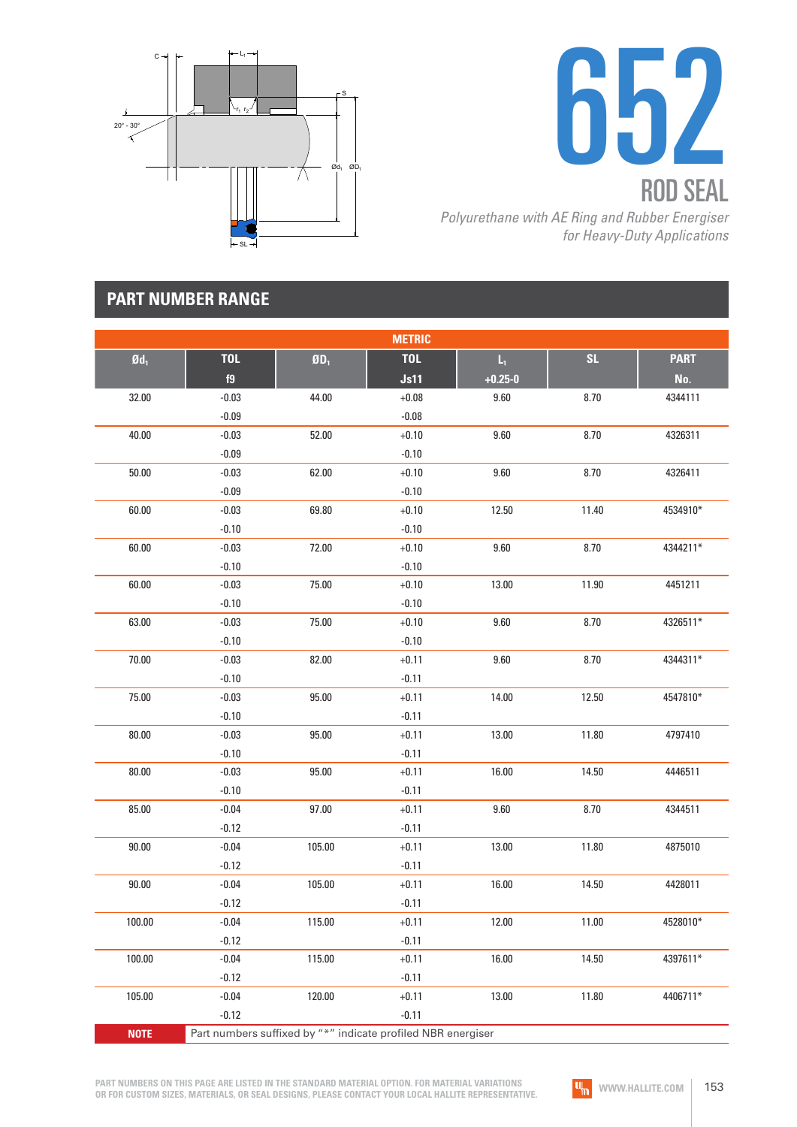



# **PART NUMBER RANGE**

|                   |            |                             | <b>METRIC</b>                                                |                         |       |             |
|-------------------|------------|-----------------------------|--------------------------------------------------------------|-------------------------|-------|-------------|
| $\mathfrak{gd}_1$ | <b>TOL</b> | $\mathbf{g}_{\mathbf{D}_1}$ | <b>TOL</b>                                                   | $\mathsf{L}_\mathrm{t}$ | SL    | <b>PART</b> |
|                   | f9         |                             | Js11                                                         | $+0.25 - 0$             |       | No.         |
| 32.00             | $-0.03$    | 44.00                       | $+0.08$                                                      | 9.60                    | 8.70  | 4344111     |
|                   | $-0.09$    |                             | $-0.08$                                                      |                         |       |             |
| 40.00             | $-0.03$    | 52.00                       | $+0.10$                                                      | 9.60                    | 8.70  | 4326311     |
|                   | $-0.09$    |                             | $-0.10$                                                      |                         |       |             |
| 50.00             | $-0.03$    | 62.00                       | $+0.10$                                                      | $9.60\,$                | 8.70  | 4326411     |
|                   | $-0.09$    |                             | $-0.10$                                                      |                         |       |             |
| 60.00             | $-0.03$    | 69.80                       | $+0.10$                                                      | 12.50                   | 11.40 | 4534910*    |
|                   | $-0.10$    |                             | $-0.10$                                                      |                         |       |             |
| 60.00             | $-0.03$    | 72.00                       | $+0.10$                                                      | $9.60\,$                | 8.70  | 4344211*    |
|                   | $-0.10$    |                             | $-0.10$                                                      |                         |       |             |
| 60.00             | $-0.03$    | 75.00                       | $+0.10$                                                      | 13.00                   | 11.90 | 4451211     |
|                   | $-0.10$    |                             | $-0.10$                                                      |                         |       |             |
| 63.00             | $-0.03$    | 75.00                       | $+0.10$                                                      | 9.60                    | 8.70  | 4326511*    |
|                   | $-0.10$    |                             | $-0.10$                                                      |                         |       |             |
| 70.00             | $-0.03$    | 82.00                       | $+0.11$                                                      | $9.60\,$                | 8.70  | 4344311*    |
|                   | $-0.10$    |                             | $-0.11$                                                      |                         |       |             |
| 75.00             | $-0.03$    | 95.00                       | $+0.11$                                                      | 14.00                   | 12.50 | 4547810*    |
|                   | $-0.10$    |                             | $-0.11$                                                      |                         |       |             |
| 80.00             | $-0.03$    | 95.00                       | $+0.11$                                                      | 13.00                   | 11.80 | 4797410     |
|                   | $-0.10$    |                             | $-0.11$                                                      |                         |       |             |
| 80.00             | $-0.03$    | 95.00                       | $+0.11$                                                      | 16.00                   | 14.50 | 4446511     |
|                   | $-0.10$    |                             | $-0.11$                                                      |                         |       |             |
| 85.00             | $-0.04$    | 97.00                       | $+0.11$                                                      | 9.60                    | 8.70  | 4344511     |
|                   | $-0.12$    |                             | $-0.11$                                                      |                         |       |             |
| 90.00             | $-0.04$    | 105.00                      | $+0.11$                                                      | 13.00                   | 11.80 | 4875010     |
|                   | $-0.12$    |                             | $-0.11$                                                      |                         |       |             |
| 90.00             | $-0.04$    | 105.00                      | $+0.11$                                                      | 16.00                   | 14.50 | 4428011     |
|                   | $-0.12$    |                             | $-0.11$                                                      |                         |       |             |
| 100.00            | $-0.04$    | 115.00                      | $+0.11$                                                      | 12.00                   | 11.00 | 4528010*    |
|                   | $-0.12$    |                             | $-0.11$                                                      |                         |       |             |
| 100.00            | $-0.04$    | 115.00                      | $+0.11$                                                      | 16.00                   | 14.50 | 4397611*    |
|                   | $-0.12$    |                             | $-0.11$                                                      |                         |       |             |
| 105.00            | $-0.04$    | 120.00                      | $+0.11$                                                      | 13.00                   | 11.80 | 4406711*    |
|                   | $-0.12$    |                             | $-0.11$                                                      |                         |       |             |
| <b>NOTE</b>       |            |                             | Part numbers suffixed by "*" indicate profiled NBR energiser |                         |       |             |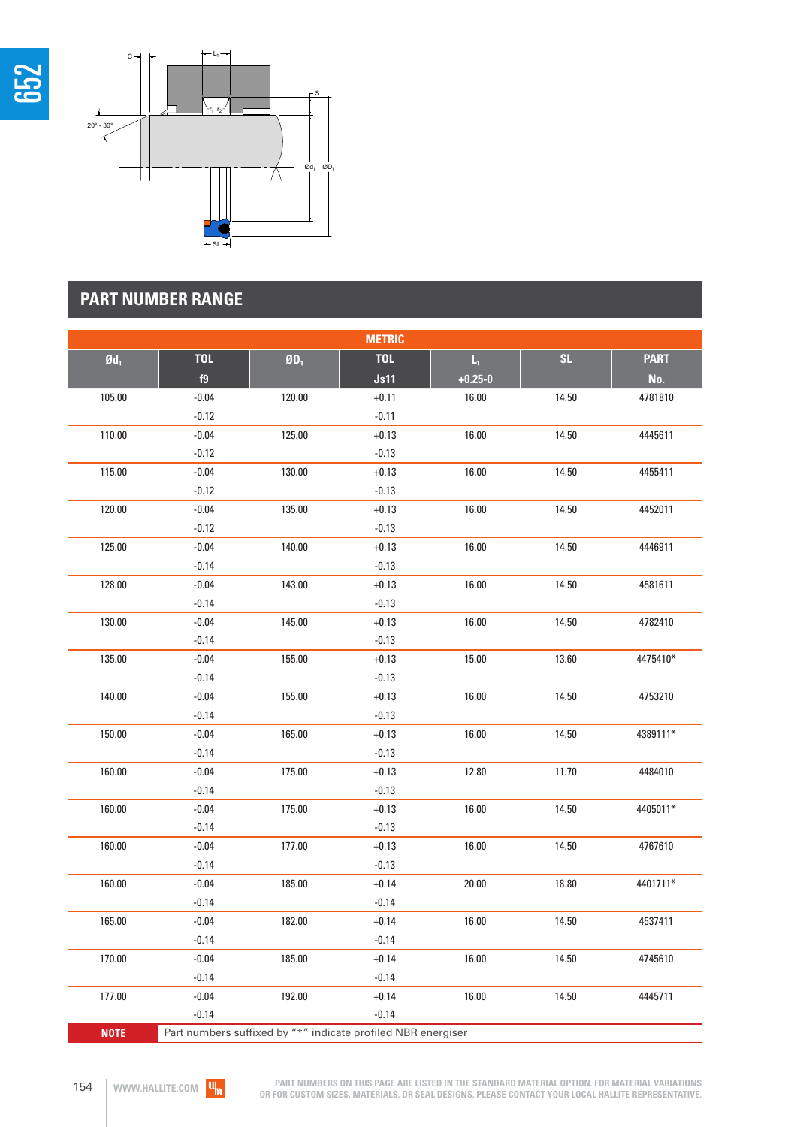



# **PART NUMBER RANGE**

| <b>METRIC</b>     |            |                                                              |            |                |       |             |  |  |
|-------------------|------------|--------------------------------------------------------------|------------|----------------|-------|-------------|--|--|
| $\mathfrak{gd}_1$ | <b>TOL</b> | $\boldsymbol{0}\boldsymbol{D}_1$                             | <b>TOL</b> | $\mathsf{L}_1$ | SL    | <b>PART</b> |  |  |
|                   | f9         |                                                              | Js11       | $+0.25 - 0$    |       | No.         |  |  |
| 105.00            | $-0.04$    | 120.00                                                       | $+0.11$    | 16.00          | 14.50 | 4781810     |  |  |
|                   | $-0.12$    |                                                              | $-0.11$    |                |       |             |  |  |
| 110.00            | $-0.04$    | 125.00                                                       | $+0.13$    | 16.00          | 14.50 | 4445611     |  |  |
|                   | $-0.12$    |                                                              | $-0.13$    |                |       |             |  |  |
| 115.00            | $-0.04$    | 130.00                                                       | $+0.13$    | 16.00          | 14.50 | 4455411     |  |  |
|                   | $-0.12$    |                                                              | $-0.13$    |                |       |             |  |  |
| 120.00            | $-0.04$    | 135.00                                                       | $+0.13$    | 16.00          | 14.50 | 4452011     |  |  |
|                   | $-0.12$    |                                                              | $-0.13$    |                |       |             |  |  |
| 125.00            | $-0.04$    | 140.00                                                       | $+0.13$    | 16.00          | 14.50 | 4446911     |  |  |
|                   | $-0.14$    |                                                              | $-0.13$    |                |       |             |  |  |
| 128.00            | $-0.04$    | 143.00                                                       | $+0.13$    | 16.00          | 14.50 | 4581611     |  |  |
|                   | $-0.14$    |                                                              | $-0.13$    |                |       |             |  |  |
| 130.00            | $-0.04$    | 145.00                                                       | $+0.13$    | 16.00          | 14.50 | 4782410     |  |  |
|                   | $-0.14$    |                                                              | $-0.13$    |                |       |             |  |  |
| 135.00            | $-0.04$    | 155.00                                                       | $+0.13$    | 15.00          | 13.60 | 4475410*    |  |  |
|                   | $-0.14$    |                                                              | $-0.13$    |                |       |             |  |  |
| 140.00            | $-0.04$    | 155.00                                                       | $+0.13$    | 16.00          | 14.50 | 4753210     |  |  |
|                   | $-0.14$    |                                                              | $-0.13$    |                |       |             |  |  |
| 150.00            | $-0.04$    | 165.00                                                       | $+0.13$    | 16.00          | 14.50 | 4389111*    |  |  |
|                   | $-0.14$    |                                                              | $-0.13$    |                |       |             |  |  |
| 160.00            | $-0.04$    | 175.00                                                       | $+0.13$    | 12.80          | 11.70 | 4484010     |  |  |
|                   | $-0.14$    |                                                              | $-0.13$    |                |       |             |  |  |
| 160.00            | $-0.04$    | 175.00                                                       | $+0.13$    | 16.00          | 14.50 | 4405011*    |  |  |
|                   | $-0.14$    |                                                              | $-0.13$    |                |       |             |  |  |
| 160.00            | $-0.04$    | 177.00                                                       | $+0.13$    | 16.00          | 14.50 | 4767610     |  |  |
|                   | $-0.14$    |                                                              | $-0.13$    |                |       |             |  |  |
| 160.00            | $-0.04$    | 185.00                                                       | $+0.14$    | 20.00          | 18.80 | 4401711*    |  |  |
|                   | $-0.14$    |                                                              | $-0.14$    |                |       |             |  |  |
| 165.00            | $-0.04$    | 182.00                                                       | $+0.14$    | 16.00          | 14.50 | 4537411     |  |  |
|                   | $-0.14$    |                                                              | $-0.14$    |                |       |             |  |  |
| 170.00            | $-0.04$    | 185.00                                                       | $+0.14$    | 16.00          | 14.50 | 4745610     |  |  |
|                   | $-0.14$    |                                                              | $-0.14$    |                |       |             |  |  |
| 177.00            | $-0.04$    | 192.00                                                       | $+0.14$    | 16.00          | 14.50 | 4445711     |  |  |
|                   | $-0.14$    |                                                              | $-0.14$    |                |       |             |  |  |
| <b>NOTE</b>       |            | Part numbers suffixed by "*" indicate profiled NBR energiser |            |                |       |             |  |  |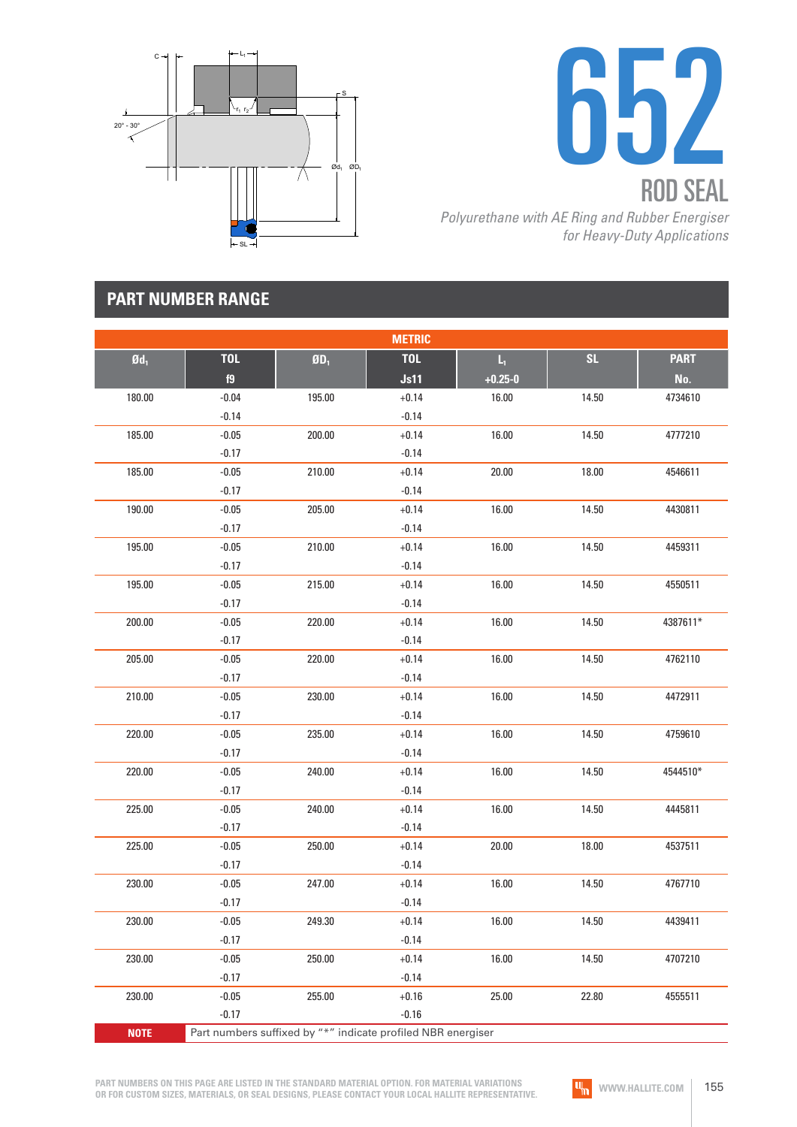



# **PART NUMBER RANGE**

|                   |            |        | <b>METRIC</b>                                                |             |           |             |
|-------------------|------------|--------|--------------------------------------------------------------|-------------|-----------|-------------|
| $\mathfrak{gd}_1$ | <b>TOL</b> | $ØD_1$ | <b>TOL</b>                                                   | Ц.          | <b>SL</b> | <b>PART</b> |
|                   | f9         |        | Js11                                                         | $+0.25 - 0$ |           | No.         |
| 180.00            | $-0.04$    | 195.00 | $+0.14$                                                      | 16.00       | 14.50     | 4734610     |
|                   | $-0.14$    |        | $-0.14$                                                      |             |           |             |
| 185.00            | $-0.05$    | 200.00 | $+0.14$                                                      | 16.00       | 14.50     | 4777210     |
|                   | $-0.17$    |        | $-0.14$                                                      |             |           |             |
| 185.00            | $-0.05$    | 210.00 | $+0.14$                                                      | 20.00       | 18.00     | 4546611     |
|                   | $-0.17$    |        | $-0.14$                                                      |             |           |             |
| 190.00            | $-0.05$    | 205.00 | $+0.14$                                                      | 16.00       | 14.50     | 4430811     |
|                   | $-0.17$    |        | $-0.14$                                                      |             |           |             |
| 195.00            | $-0.05$    | 210.00 | $+0.14$                                                      | 16.00       | 14.50     | 4459311     |
|                   | $-0.17$    |        | $-0.14$                                                      |             |           |             |
| 195.00            | $-0.05$    | 215.00 | $+0.14$                                                      | 16.00       | 14.50     | 4550511     |
|                   | $-0.17$    |        | $-0.14$                                                      |             |           |             |
| 200.00            | $-0.05$    | 220.00 | $+0.14$                                                      | 16.00       | 14.50     | 4387611*    |
|                   | $-0.17$    |        | $-0.14$                                                      |             |           |             |
| 205.00            | $-0.05$    | 220.00 | $+0.14$                                                      | 16.00       | 14.50     | 4762110     |
|                   | $-0.17$    |        | $-0.14$                                                      |             |           |             |
| 210.00            | $-0.05$    | 230.00 | $+0.14$                                                      | 16.00       | 14.50     | 4472911     |
|                   | $-0.17$    |        | $-0.14$                                                      |             |           |             |
| 220.00            | $-0.05$    | 235.00 | $+0.14$                                                      | 16.00       | 14.50     | 4759610     |
|                   | $-0.17$    |        | $-0.14$                                                      |             |           |             |
| 220.00            | $-0.05$    | 240.00 | $+0.14$                                                      | 16.00       | 14.50     | 4544510*    |
|                   | $-0.17$    |        | $-0.14$                                                      |             |           |             |
| 225.00            | $-0.05$    | 240.00 | $+0.14$                                                      | 16.00       | 14.50     | 4445811     |
|                   | $-0.17$    |        | $-0.14$                                                      |             |           |             |
| 225.00            | $-0.05$    | 250.00 | $+0.14$                                                      | 20.00       | 18.00     | 4537511     |
|                   | $-0.17$    |        | $-0.14$                                                      |             |           |             |
| 230.00            | $-0.05$    | 247.00 | $+0.14$                                                      | 16.00       | 14.50     | 4767710     |
|                   | $-0.17$    |        | $-0.14$                                                      |             |           |             |
| 230.00            | $-0.05$    | 249.30 | $+0.14$                                                      | 16.00       | 14.50     | 4439411     |
|                   | $-0.17$    |        | $-0.14$                                                      |             |           |             |
| 230.00            | $-0.05$    | 250.00 | $+0.14$                                                      | 16.00       | 14.50     | 4707210     |
|                   | $-0.17$    |        | $-0.14$                                                      |             |           |             |
| 230.00            | $-0.05$    | 255.00 | $+0.16$                                                      | 25.00       | 22.80     | 4555511     |
|                   | $-0.17$    |        | $-0.16$                                                      |             |           |             |
| <b>NOTE</b>       |            |        | Part numbers suffixed by "*" indicate profiled NBR energiser |             |           |             |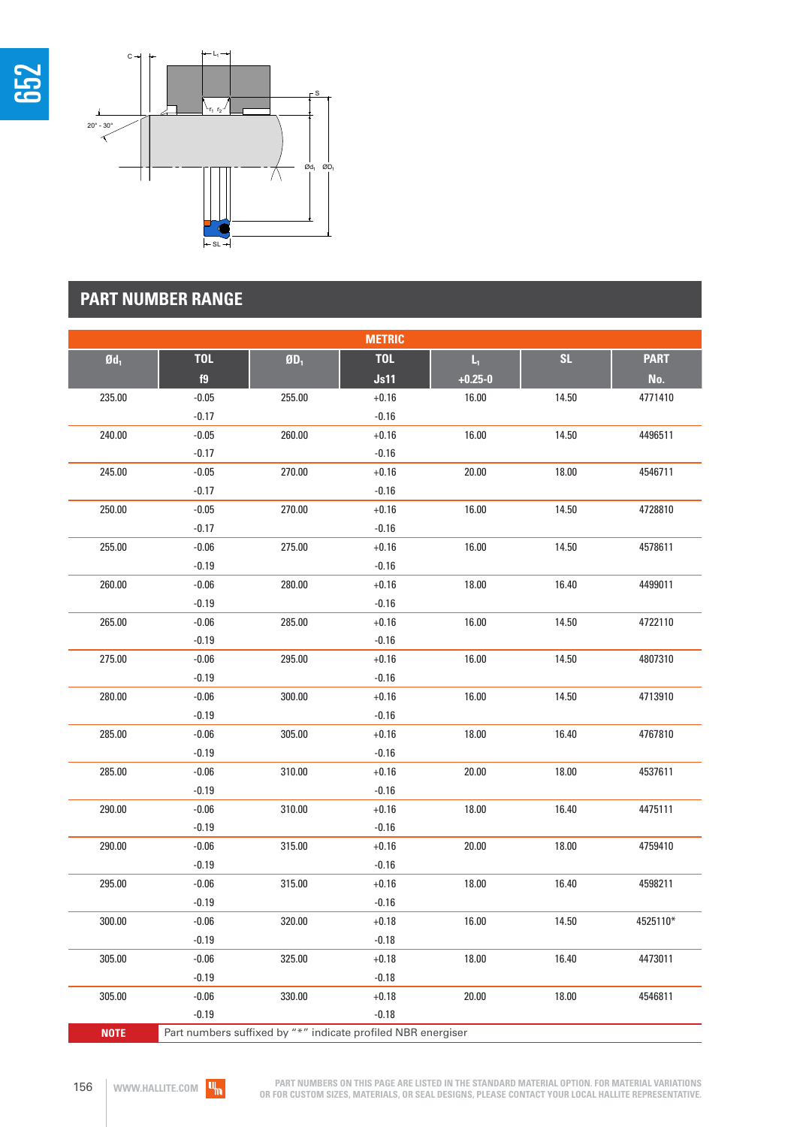



# **PART NUMBER RANGE**

|                   |            |                                                              | <b>METRIC</b> |             |       |             |
|-------------------|------------|--------------------------------------------------------------|---------------|-------------|-------|-------------|
| $\mathfrak{gd}_1$ | <b>TOL</b> | $\boldsymbol{0}\boldsymbol{0}_1$                             | <b>TOL</b>    | $L_{\rm L}$ | SL    | <b>PART</b> |
|                   | f9         |                                                              | Js11          | $+0.25 - 0$ |       | No.         |
| 235.00            | $-0.05$    | 255.00                                                       | $+0.16$       | 16.00       | 14.50 | 4771410     |
|                   | $-0.17$    |                                                              | $-0.16$       |             |       |             |
| 240.00            | $-0.05$    | 260.00                                                       | $+0.16$       | 16.00       | 14.50 | 4496511     |
|                   | $-0.17$    |                                                              | $-0.16$       |             |       |             |
| 245.00            | $-0.05$    | 270.00                                                       | $+0.16$       | 20.00       | 18.00 | 4546711     |
|                   | $-0.17$    |                                                              | $-0.16$       |             |       |             |
| 250.00            | $-0.05$    | 270.00                                                       | $+0.16$       | 16.00       | 14.50 | 4728810     |
|                   | $-0.17$    |                                                              | $-0.16$       |             |       |             |
| 255.00            | $-0.06$    | 275.00                                                       | $+0.16$       | 16.00       | 14.50 | 4578611     |
|                   | $-0.19$    |                                                              | $-0.16$       |             |       |             |
| 260.00            | $-0.06$    | 280.00                                                       | $+0.16$       | 18.00       | 16.40 | 4499011     |
|                   | $-0.19$    |                                                              | $-0.16$       |             |       |             |
| 265.00            | $-0.06$    | 285.00                                                       | $+0.16$       | 16.00       | 14.50 | 4722110     |
|                   | $-0.19$    |                                                              | $-0.16$       |             |       |             |
| 275.00            | $-0.06$    | 295.00                                                       | $+0.16$       | 16.00       | 14.50 | 4807310     |
|                   | $-0.19$    |                                                              | $-0.16$       |             |       |             |
| 280.00            | $-0.06$    | 300.00                                                       | $+0.16$       | 16.00       | 14.50 | 4713910     |
|                   | $-0.19$    |                                                              | $-0.16$       |             |       |             |
| 285.00            | $-0.06$    | 305.00                                                       | $+0.16$       | 18.00       | 16.40 | 4767810     |
|                   | $-0.19$    |                                                              | $-0.16$       |             |       |             |
| 285.00            | $-0.06$    | 310.00                                                       | $+0.16$       | 20.00       | 18.00 | 4537611     |
|                   | $-0.19$    |                                                              | $-0.16$       |             |       |             |
| 290.00            | $-0.06$    | 310.00                                                       | $+0.16$       | 18.00       | 16.40 | 4475111     |
|                   | $-0.19$    |                                                              | $-0.16$       |             |       |             |
| 290.00            | $-0.06$    | 315.00                                                       | $+0.16$       | 20.00       | 18.00 | 4759410     |
|                   | $-0.19$    |                                                              | $-0.16$       |             |       |             |
| 295.00            | $-0.06$    | 315.00                                                       | $+0.16$       | 18.00       | 16.40 | 4598211     |
|                   | $-0.19$    |                                                              | $-0.16$       |             |       |             |
| 300.00            | $-0.06$    | 320.00                                                       | $+0.18$       | 16.00       | 14.50 | 4525110*    |
|                   | $-0.19$    |                                                              | $-0.18$       |             |       |             |
| 305.00            | $-0.06$    | 325.00                                                       | $+0.18$       | 18.00       | 16.40 | 4473011     |
|                   | $-0.19$    |                                                              | $-0.18$       |             |       |             |
| 305.00            | $-0.06$    | 330.00                                                       | $+0.18$       | 20.00       | 18.00 | 4546811     |
|                   | $-0.19$    |                                                              | $-0.18$       |             |       |             |
| <b>NOTE</b>       |            | Part numbers suffixed by "*" indicate profiled NBR energiser |               |             |       |             |

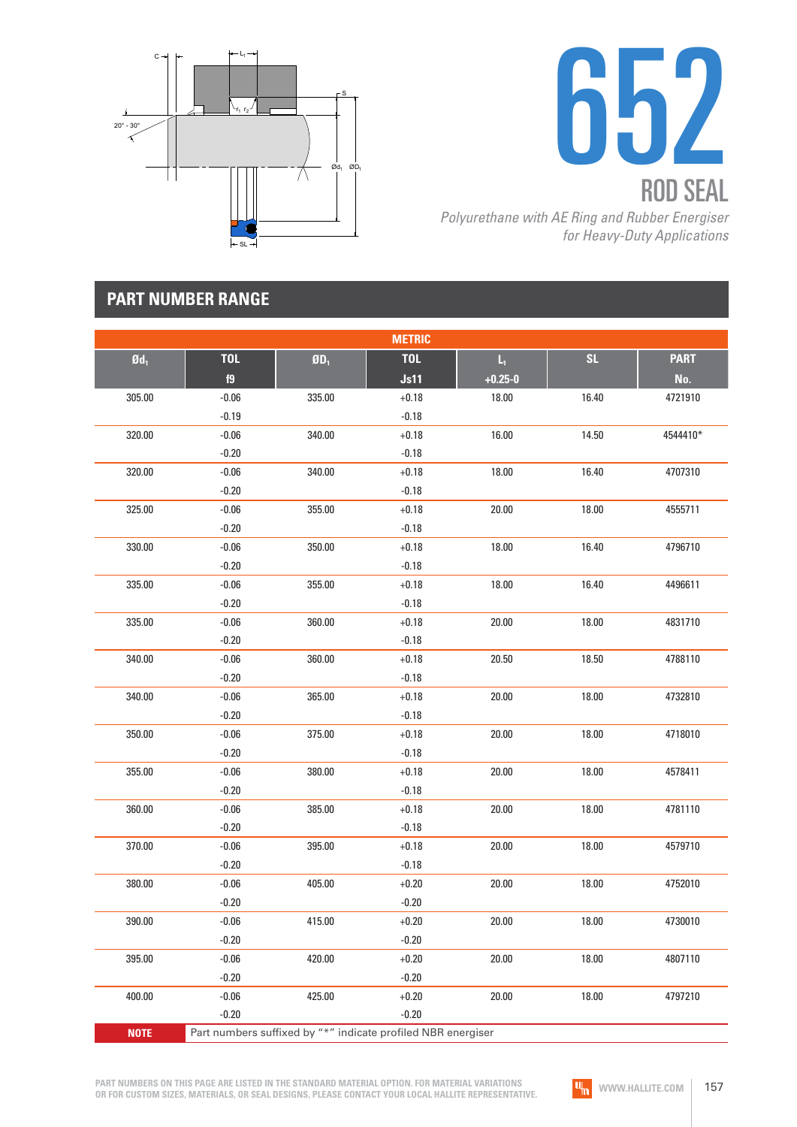



# **PART NUMBER RANGE**

|                 |            |                                  | <b>METRIC</b>                                                |             |           |             |
|-----------------|------------|----------------------------------|--------------------------------------------------------------|-------------|-----------|-------------|
| $\mathbf{0d}_1$ | <b>TOL</b> | $\boldsymbol{0}\boldsymbol{0}_1$ | <b>TOL</b>                                                   | $L_1$       | <b>SL</b> | <b>PART</b> |
|                 | f9         |                                  | Js11                                                         | $+0.25 - 0$ |           | No.         |
| 305.00          | $-0.06$    | 335.00                           | $+0.18$                                                      | 18.00       | 16.40     | 4721910     |
|                 | $-0.19$    |                                  | $-0.18$                                                      |             |           |             |
| 320.00          | $-0.06$    | 340.00                           | $+0.18$                                                      | 16.00       | 14.50     | 4544410*    |
|                 | $-0.20$    |                                  | $-0.18$                                                      |             |           |             |
| 320.00          | $-0.06$    | 340.00                           | $+0.18$                                                      | 18.00       | 16.40     | 4707310     |
|                 | $-0.20$    |                                  | $-0.18$                                                      |             |           |             |
| 325.00          | $-0.06$    | 355.00                           | $+0.18$                                                      | 20.00       | 18.00     | 4555711     |
|                 | $-0.20$    |                                  | $-0.18$                                                      |             |           |             |
| 330.00          | $-0.06$    | 350.00                           | $+0.18$                                                      | 18.00       | 16.40     | 4796710     |
|                 | $-0.20$    |                                  | $-0.18$                                                      |             |           |             |
| 335.00          | $-0.06$    | 355.00                           | $+0.18$                                                      | 18.00       | 16.40     | 4496611     |
|                 | $-0.20$    |                                  | $-0.18$                                                      |             |           |             |
| 335.00          | $-0.06$    | 360.00                           | $+0.18$                                                      | 20.00       | 18.00     | 4831710     |
|                 | $-0.20$    |                                  | $-0.18$                                                      |             |           |             |
| 340.00          | $-0.06$    | 360.00                           | $+0.18$                                                      | 20.50       | 18.50     | 4788110     |
|                 | $-0.20$    |                                  | $-0.18$                                                      |             |           |             |
| 340.00          | $-0.06$    | 365.00                           | $+0.18$                                                      | 20.00       | 18.00     | 4732810     |
|                 | $-0.20$    |                                  | $-0.18$                                                      |             |           |             |
| 350.00          | $-0.06$    | 375.00                           | $+0.18$                                                      | 20.00       | 18.00     | 4718010     |
|                 | $-0.20$    |                                  | $-0.18$                                                      |             |           |             |
| 355.00          | $-0.06$    | 380.00                           | $+0.18$                                                      | 20.00       | 18.00     | 4578411     |
|                 | $-0.20$    |                                  | $-0.18$                                                      |             |           |             |
| 360.00          | $-0.06$    | 385.00                           | $+0.18$                                                      | 20.00       | 18.00     | 4781110     |
|                 | $-0.20$    |                                  | $-0.18$                                                      |             |           |             |
| 370.00          | $-0.06$    | 395.00                           | $+0.18$                                                      | 20.00       | 18.00     | 4579710     |
|                 | $-0.20$    |                                  | $-0.18$                                                      |             |           |             |
| 380.00          | $-0.06$    | 405.00                           | $+0.20$                                                      | 20.00       | 18.00     | 4752010     |
|                 | $-0.20$    |                                  | $-0.20$                                                      |             |           |             |
| 390.00          | $-0.06$    | 415.00                           | $+0.20$                                                      | 20.00       | 18.00     | 4730010     |
|                 | $-0.20$    |                                  | $-0.20$                                                      |             |           |             |
| 395.00          | $-0.06$    | 420.00                           | $+0.20$                                                      | 20.00       | 18.00     | 4807110     |
|                 | $-0.20$    |                                  | $-0.20$                                                      |             |           |             |
| 400.00          | $-0.06$    | 425.00                           | $+0.20$                                                      | 20.00       | 18.00     | 4797210     |
|                 | $-0.20$    |                                  | $-0.20$                                                      |             |           |             |
| <b>NOTE</b>     |            |                                  | Part numbers suffixed by "*" indicate profiled NBR energiser |             |           |             |